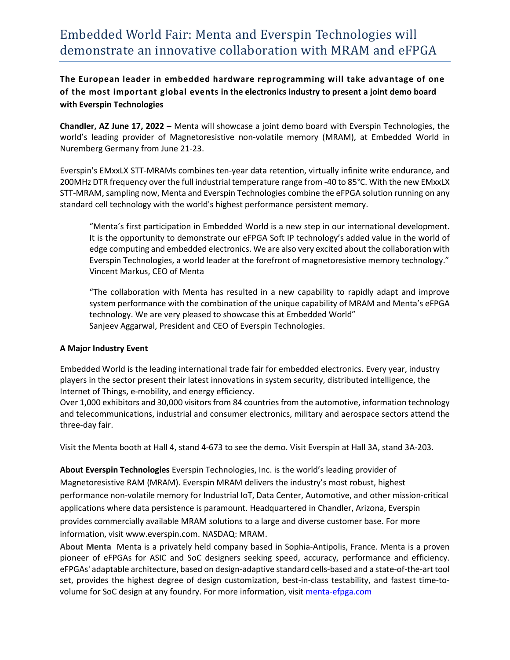**The European leader in embedded hardware reprogramming will take advantage of one of the most important global events in the electronics industry to present a joint demo board with Everspin Technologies**

**Chandler, AZ June 17, 2022 –** Menta will showcase a joint demo board with Everspin Technologies, the world's leading provider of Magnetoresistive non-volatile memory (MRAM), at Embedded World in Nuremberg Germany from June 21-23.

Everspin's EMxxLX STT-MRAMs combines ten-year data retention, virtually infinite write endurance, and 200MHz DTR frequency over the full industrial temperature range from -40 to 85°C. With the new EMxxLX STT-MRAM, sampling now, Menta and Everspin Technologies combine the eFPGA solution running on any standard cell technology with the world's highest performance persistent memory.

"Menta's first participation in Embedded World is a new step in our international development. It is the opportunity to demonstrate our eFPGA Soft IP technology's added value in the world of edge computing and embedded electronics. We are also very excited about the collaboration with Everspin Technologies, a world leader at the forefront of magnetoresistive memory technology." Vincent Markus, CEO of Menta

"The collaboration with Menta has resulted in a new capability to rapidly adapt and improve system performance with the combination of the unique capability of MRAM and Menta's eFPGA technology. We are very pleased to showcase this at Embedded World" Sanjeev Aggarwal, President and CEO of Everspin Technologies.

## **A Major Industry Event**

Embedded World is the leading international trade fair for embedded electronics. Every year, industry players in the sector present their latest innovations in system security, distributed intelligence, the Internet of Things, e-mobility, and energy efficiency.

Over 1,000 exhibitors and 30,000 visitors from 84 countries from the automotive, information technology and telecommunications, industrial and consumer electronics, military and aerospace sectors attend the three-day fair.

Visit the Menta booth at Hall 4, stand 4-673 to see the demo. Visit Everspin at Hall 3A, stand 3A-203.

**About Everspin Technologies** Everspin Technologies, Inc. is the world's leading provider of Magnetoresistive RAM (MRAM). Everspin MRAM delivers the industry's most robust, highest performance non-volatile memory for Industrial IoT, Data Center, Automotive, and other mission-critical applications where data persistence is paramount. Headquartered in Chandler, Arizona, Everspin provides commercially available MRAM solutions to a large and diverse customer base. For more information, visit www.everspin.com. NASDAQ: MRAM.

**About Menta** Menta is a privately held company based in Sophia-Antipolis, France. Menta is a proven pioneer of eFPGAs for ASIC and SoC designers seeking speed, accuracy, performance and efficiency. eFPGAs' adaptable architecture, based on design-adaptive standard cells-based and a state-of-the-art tool set, provides the highest degree of design customization, best-in-class testability, and fastest time-tovolume for SoC design at any foundry. For more information, visit [menta-efpga.com](https://www.menta-efpga.com/)